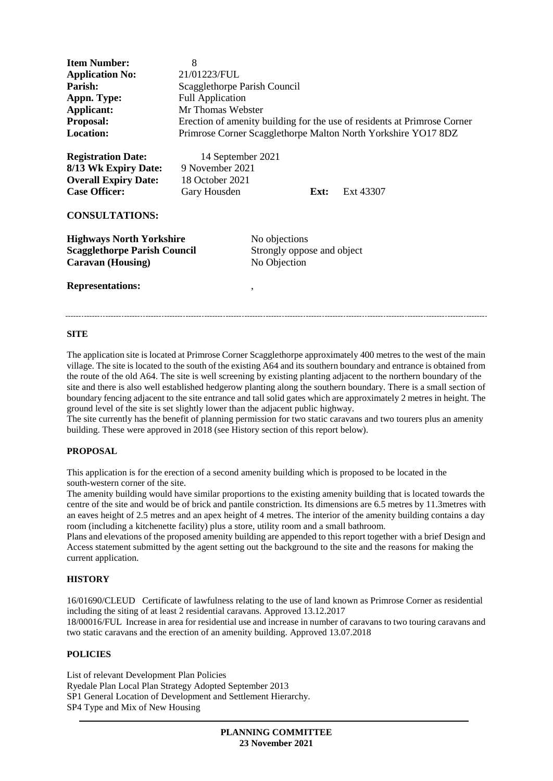| <b>Item Number:</b><br><b>Application No:</b><br>Parish:<br>Appn. Type:<br>Applicant:<br>Proposal:<br><b>Location:</b>      | 8<br>21/01223/FUL<br>Scagglethorpe Parish Council<br><b>Full Application</b><br>Mr Thomas Webster |                                                             |  | Erection of amenity building for the use of residents at Primrose Corner<br>Primrose Corner Scagglethorpe Malton North Yorkshire YO17 8DZ |
|-----------------------------------------------------------------------------------------------------------------------------|---------------------------------------------------------------------------------------------------|-------------------------------------------------------------|--|-------------------------------------------------------------------------------------------------------------------------------------------|
| <b>Registration Date:</b><br>8/13 Wk Expiry Date:<br><b>Overall Expiry Date:</b><br><b>Case Officer:</b>                    | 14 September 2021<br>9 November 2021<br>18 October 2021<br>Gary Housden                           | Ext:                                                        |  | Ext 43307                                                                                                                                 |
| <b>CONSULTATIONS:</b><br><b>Highways North Yorkshire</b><br><b>Scagglethorpe Parish Council</b><br><b>Caravan</b> (Housing) |                                                                                                   | No objections<br>Strongly oppose and object<br>No Objection |  |                                                                                                                                           |
| <b>Representations:</b>                                                                                                     |                                                                                                   | ۰                                                           |  |                                                                                                                                           |

#### **SITE**

The application site is located at Primrose Corner Scagglethorpe approximately 400 metres to the west of the main village. The site is located to the south of the existing A64 and its southern boundary and entrance is obtained from the route of the old A64. The site is well screening by existing planting adjacent to the northern boundary of the site and there is also well established hedgerow planting along the southern boundary. There is a small section of boundary fencing adjacent to the site entrance and tall solid gates which are approximately 2 metres in height. The ground level of the site is set slightly lower than the adjacent public highway.

The site currently has the benefit of planning permission for two static caravans and two tourers plus an amenity building. These were approved in 2018 (see History section of this report below).

# **PROPOSAL**

This application is for the erection of a second amenity building which is proposed to be located in the south-western corner of the site.

The amenity building would have similar proportions to the existing amenity building that is located towards the centre of the site and would be of brick and pantile constriction. Its dimensions are 6.5 metres by 11.3metres with an eaves height of 2.5 metres and an apex height of 4 metres. The interior of the amenity building contains a day room (including a kitchenette facility) plus a store, utility room and a small bathroom.

Plans and elevations of the proposed amenity building are appended to this report together with a brief Design and Access statement submitted by the agent setting out the background to the site and the reasons for making the current application.

#### **HISTORY**

16/01690/CLEUD Certificate of lawfulness relating to the use of land known as Primrose Corner as residential including the siting of at least 2 residential caravans. Approved 13.12.2017 18/00016/FUL Increase in area for residential use and increase in number of caravans to two touring caravans and two static caravans and the erection of an amenity building. Approved 13.07.2018

# **POLICIES**

List of relevant Development Plan Policies Ryedale Plan Local Plan Strategy Adopted September 2013 SP1 General Location of Development and Settlement Hierarchy. SP4 Type and Mix of New Housing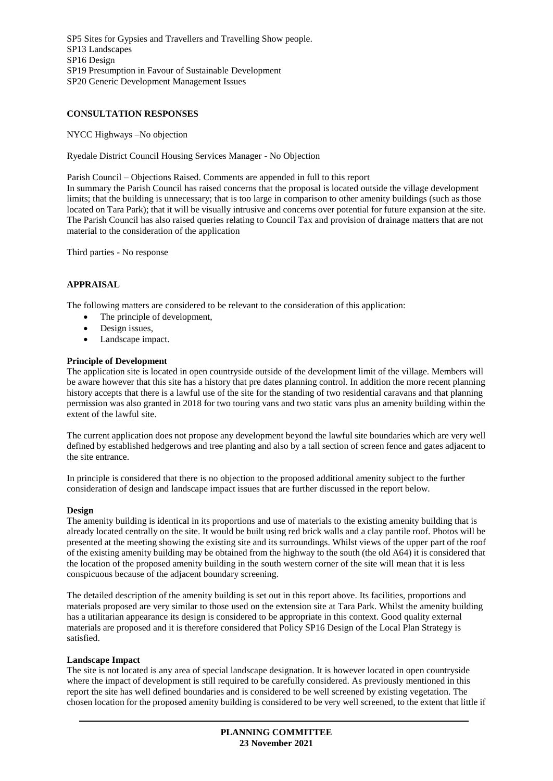SP5 Sites for Gypsies and Travellers and Travelling Show people. SP13 Landscapes SP16 Design SP19 Presumption in Favour of Sustainable Development SP20 Generic Development Management Issues

# **CONSULTATION RESPONSES**

NYCC Highways –No objection

Ryedale District Council Housing Services Manager - No Objection

Parish Council – Objections Raised. Comments are appended in full to this report

In summary the Parish Council has raised concerns that the proposal is located outside the village development limits; that the building is unnecessary; that is too large in comparison to other amenity buildings (such as those located on Tara Park); that it will be visually intrusive and concerns over potential for future expansion at the site. The Parish Council has also raised queries relating to Council Tax and provision of drainage matters that are not material to the consideration of the application

Third parties - No response

## **APPRAISAL**

The following matters are considered to be relevant to the consideration of this application:

- The principle of development,
- Design issues,
- Landscape impact.

#### **Principle of Development**

The application site is located in open countryside outside of the development limit of the village. Members will be aware however that this site has a history that pre dates planning control. In addition the more recent planning history accepts that there is a lawful use of the site for the standing of two residential caravans and that planning permission was also granted in 2018 for two touring vans and two static vans plus an amenity building within the extent of the lawful site.

The current application does not propose any development beyond the lawful site boundaries which are very well defined by established hedgerows and tree planting and also by a tall section of screen fence and gates adjacent to the site entrance.

In principle is considered that there is no objection to the proposed additional amenity subject to the further consideration of design and landscape impact issues that are further discussed in the report below.

#### **Design**

The amenity building is identical in its proportions and use of materials to the existing amenity building that is already located centrally on the site. It would be built using red brick walls and a clay pantile roof. Photos will be presented at the meeting showing the existing site and its surroundings. Whilst views of the upper part of the roof of the existing amenity building may be obtained from the highway to the south (the old A64) it is considered that the location of the proposed amenity building in the south western corner of the site will mean that it is less conspicuous because of the adjacent boundary screening.

The detailed description of the amenity building is set out in this report above. Its facilities, proportions and materials proposed are very similar to those used on the extension site at Tara Park. Whilst the amenity building has a utilitarian appearance its design is considered to be appropriate in this context. Good quality external materials are proposed and it is therefore considered that Policy SP16 Design of the Local Plan Strategy is satisfied.

## **Landscape Impact**

The site is not located is any area of special landscape designation. It is however located in open countryside where the impact of development is still required to be carefully considered. As previously mentioned in this report the site has well defined boundaries and is considered to be well screened by existing vegetation. The chosen location for the proposed amenity building is considered to be very well screened, to the extent that little if